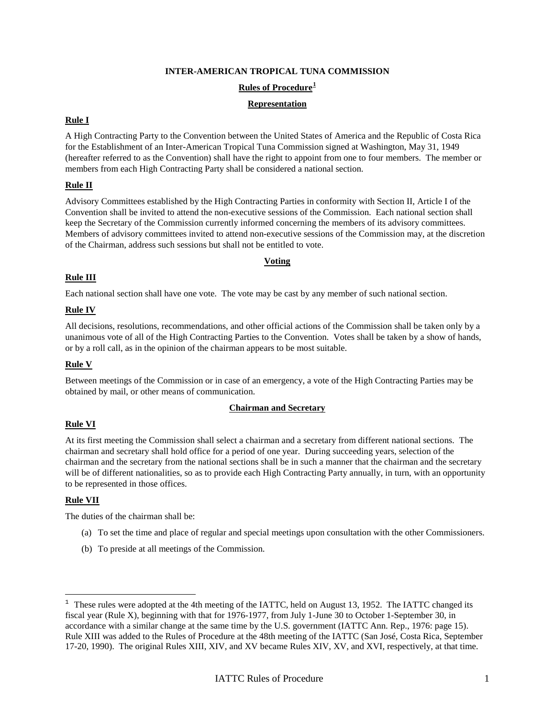#### **INTER-AMERICAN TROPICAL TUNA COMMISSION**

## **Rules of Procedure[1](#page-0-0)**

#### **Representation**

## **Rule I**

A High Contracting Party to the Convention between the United States of America and the Republic of Costa Rica for the Establishment of an Inter-American Tropical Tuna Commission signed at Washington, May 31, 1949 (hereafter referred to as the Convention) shall have the right to appoint from one to four members. The member or members from each High Contracting Party shall be considered a national section.

## **Rule II**

Advisory Committees established by the High Contracting Parties in conformity with Section II, Article I of the Convention shall be invited to attend the non-executive sessions of the Commission. Each national section shall keep the Secretary of the Commission currently informed concerning the members of its advisory committees. Members of advisory committees invited to attend non-executive sessions of the Commission may, at the discretion of the Chairman, address such sessions but shall not be entitled to vote.

#### **Voting**

#### **Rule III**

Each national section shall have one vote. The vote may be cast by any member of such national section.

#### **Rule IV**

All decisions, resolutions, recommendations, and other official actions of the Commission shall be taken only by a unanimous vote of all of the High Contracting Parties to the Convention. Votes shall be taken by a show of hands, or by a roll call, as in the opinion of the chairman appears to be most suitable.

#### **Rule V**

Between meetings of the Commission or in case of an emergency, a vote of the High Contracting Parties may be obtained by mail, or other means of communication.

## **Chairman and Secretary**

#### **Rule VI**

At its first meeting the Commission shall select a chairman and a secretary from different national sections. The chairman and secretary shall hold office for a period of one year. During succeeding years, selection of the chairman and the secretary from the national sections shall be in such a manner that the chairman and the secretary will be of different nationalities, so as to provide each High Contracting Party annually, in turn, with an opportunity to be represented in those offices.

#### **Rule VII**

ł

The duties of the chairman shall be:

- (a) To set the time and place of regular and special meetings upon consultation with the other Commissioners.
- (b) To preside at all meetings of the Commission.

<span id="page-0-0"></span> $1$  These rules were adopted at the 4th meeting of the IATTC, held on August 13, 1952. The IATTC changed its fiscal year (Rule X), beginning with that for 1976-1977, from July 1-June 30 to October 1-September 30, in accordance with a similar change at the same time by the U.S. government (IATTC Ann. Rep., 1976: page 15). Rule XIII was added to the Rules of Procedure at the 48th meeting of the IATTC (San José, Costa Rica, September 17-20, 1990). The original Rules XIII, XIV, and XV became Rules XIV, XV, and XVI, respectively, at that time.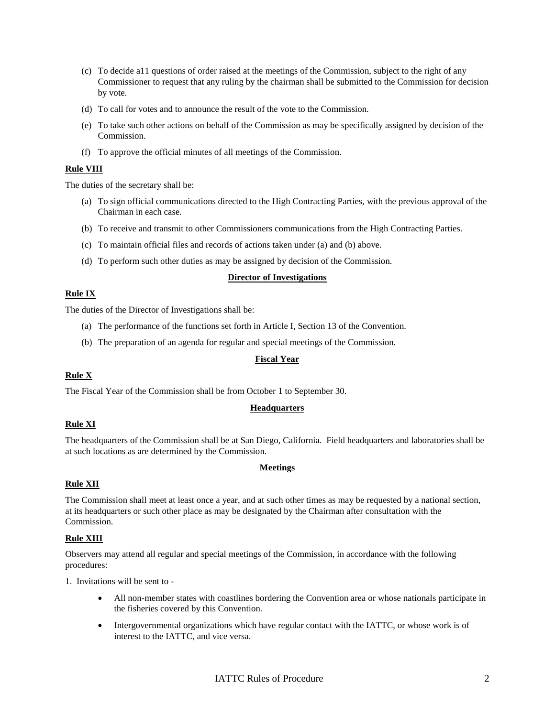- (c) To decide a11 questions of order raised at the meetings of the Commission, subject to the right of any Commissioner to request that any ruling by the chairman shall be submitted to the Commission for decision by vote.
- (d) To call for votes and to announce the result of the vote to the Commission.
- (e) To take such other actions on behalf of the Commission as may be specifically assigned by decision of the Commission.
- (f) To approve the official minutes of all meetings of the Commission.

#### **Rule VIII**

The duties of the secretary shall be:

- (a) To sign official communications directed to the High Contracting Parties, with the previous approval of the Chairman in each case.
- (b) To receive and transmit to other Commissioners communications from the High Contracting Parties.
- (c) To maintain official files and records of actions taken under (a) and (b) above.
- (d) To perform such other duties as may be assigned by decision of the Commission.

#### **Director of Investigations**

## **Rule IX**

The duties of the Director of Investigations shall be:

- (a) The performance of the functions set forth in Article I, Section 13 of the Convention.
- (b) The preparation of an agenda for regular and special meetings of the Commission.

## **Fiscal Year**

## **Rule X**

The Fiscal Year of the Commission shall be from October 1 to September 30.

## **Headquarters**

## **Rule XI**

The headquarters of the Commission shall be at San Diego, California. Field headquarters and laboratories shall be at such locations as are determined by the Commission.

## **Meetings**

## **Rule XII**

The Commission shall meet at least once a year, and at such other times as may be requested by a national section, at its headquarters or such other place as may be designated by the Chairman after consultation with the Commission.

## **Rule XIII**

Observers may attend all regular and special meetings of the Commission, in accordance with the following procedures:

1. Invitations will be sent to -

- All non-member states with coastlines bordering the Convention area or whose nationals participate in the fisheries covered by this Convention.
- Intergovernmental organizations which have regular contact with the IATTC, or whose work is of interest to the IATTC, and vice versa.